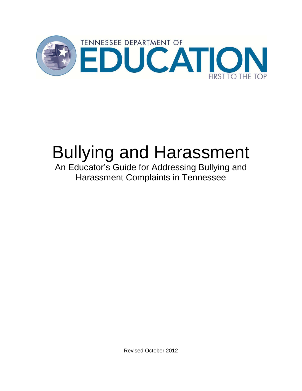

# Bullying and Harassment

An Educator's Guide for Addressing Bullying and Harassment Complaints in Tennessee

Revised October 2012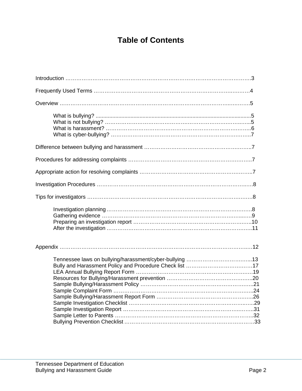## **Table of Contents**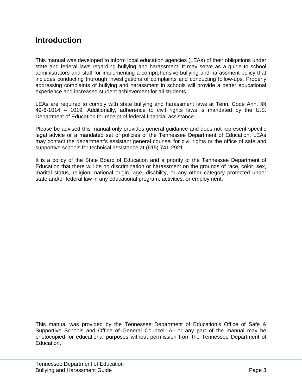## **Introduction**

This manual was developed to inform local education agencies (LEAs) of their obligations under state and federal laws regarding bullying and harassment. It may serve as a guide to school administrators and staff for implementing a comprehensive bullying and harassment policy that includes conducting thorough investigations of complaints and conducting follow-ups. Properly addressing complaints of bullying and harassment in schools will provide a better educational experience and increased student achievement for all students.

LEAs are required to comply with state bullying and harassment laws at Tenn. Code Ann. §§ 49-6-1014 – 1019. Additionally, adherence to civil rights laws is mandated by the U.S. Department of Education for receipt of federal financial assistance.

Please be advised this manual only provides general guidance and does not represent specific legal advice or a mandated set of policies of the Tennessee Department of Education. LEAs may contact the department's assistant general counsel for civil rights or the office of safe and supportive schools for technical assistance at (615) 741-2921.

It is a policy of the State Board of Education and a priority of the Tennessee Department of Education that there will be no discrimination or harassment on the grounds of race, color, sex, marital status, religion, national origin, age, disability, or any other category protected under state and/or federal law in any educational program, activities, or employment.

This manual was provided by the Tennessee Department of Education's Office of Safe & Supportive Schools and Office of General Counsel. All or any part of the manual may be photocopied for educational purposes without permission from the Tennessee Department of Education.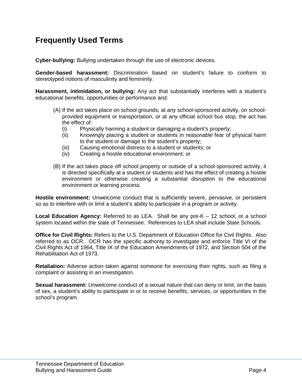## **Frequently Used Terms**

**Cyber-bullying:** Bullying undertaken through the use of electronic devices.

**Gender-based harassment:** Discrimination based on student's failure to conform to stereotyped notions of masculinity and femininity.

**Harassment, intimidation, or bullying:** Any act that substantially interferes with a student's educational benefits, opportunities or performance and:

- (A) If the act takes place on school grounds, at any school-sponsored activity, on schoolprovided equipment or transportation, or at any official school bus stop, the act has the effect of:
	- (i) Physically harming a student or damaging a student's property;
	- (ii) Knowingly placing a student or students in reasonable fear of physical harm to the student or damage to the student's property;
	- (iii) Causing emotional distress to a student or students; or
	- (iv) Creating a hostile educational environment; or
- (B) If the act takes place off school property or outside of a school-sponsored activity, it is directed specifically at a student or students and has the effect of creating a hostile environment or otherwise creating a substantial disruption to the educational environment or learning process.

**Hostile environment:** Unwelcome conduct that is sufficiently severe, pervasive, or persistent so as to interfere with or limit a student's ability to participate in a program or activity.

**Local Education Agency:** Referred to as LEA. Shall be any pre-K – 12 school, or a school system located within the state of Tennessee. References to LEA shall include State Schools.

**Office for Civil Rights:** Refers to the U.S. Department of Education Office for Civil Rights. Also referred to as OCR. OCR has the specific authority to investigate and enforce Title VI of the Civil Rights Act of 1964, Title IX of the Education Amendments of 1972, and Section 504 of the Rehabilitation Act of 1973.

**Retaliation:** Adverse action taken against someone for exercising their rights, such as filing a complaint or assisting in an investigation.

**Sexual harassment:** Unwelcome conduct of a sexual nature that can deny or limit, on the basis of sex, a student's ability to participate in or to receive benefits, services, or opportunities in the school's program.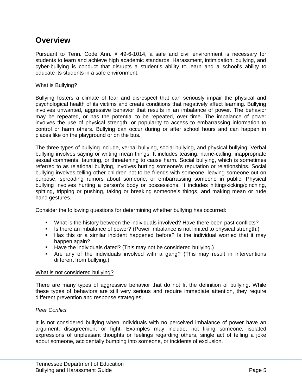## **Overview**

Pursuant to Tenn. Code Ann. § 49-6-1014, a safe and civil environment is necessary for students to learn and achieve high academic standards. Harassment, intimidation, bullying, and cyber-bullying is conduct that disrupts a student's ability to learn and a school's ability to educate its students in a safe environment.

#### What is Bullying?

Bullying fosters a climate of fear and disrespect that can seriously impair the physical and psychological health of its victims and create conditions that negatively affect learning. Bullying involves unwanted, aggressive behavior that results in an imbalance of power. The behavior may be repeated, or has the potential to be repeated, over time. The imbalance of power involves the use of physical strength, or popularity to access to embarrassing information to control or harm others. Bullying can occur during or after school hours and can happen in places like on the playground or on the bus.

The three types of bullying include, verbal bullying, social bullying, and physical bullying. Verbal bullying involves saying or writing mean things. It includes teasing, name-calling, inappropriate sexual comments, taunting, or threatening to cause harm. Social bullying, which is sometimes referred to as relational bullying, involves hurting someone's reputation or relationships. Social bullying involves telling other children not to be friends with someone, leaving someone out on purpose, spreading rumors about someone, or embarrassing someone in public. Physical bullying involves hurting a person's body or possessions. It includes hitting/kicking/pinching, spitting, tripping or pushing, taking or breaking someone's things, and making mean or rude hand gestures.

Consider the following questions for determining whether bullying has occurred:

- What is the history between the individuals involved? Have there been past conflicts?
- Is there an imbalance of power? (Power imbalance is not limited to physical strength.)
- Has this or a similar incident happened before? Is the individual worried that it may happen again?
- **Have the individuals dated? (This may not be considered bullying.)**
- Are any of the individuals involved with a gang? (This may result in interventions different from bullying.)

#### What is not considered bullying?

There are many types of aggressive behavior that do not fit the definition of bullying. While these types of behaviors are still very serious and require immediate attention, they require different prevention and response strategies.

#### *Peer Conflict*

It is not considered bullying when individuals with no perceived imbalance of power have an argument, disagreement or fight. Examples may include, not liking someone, isolated expressions of unpleasant thoughts or feelings regarding others, single act of telling a joke about someone, accidentally bumping into someone, or incidents of exclusion.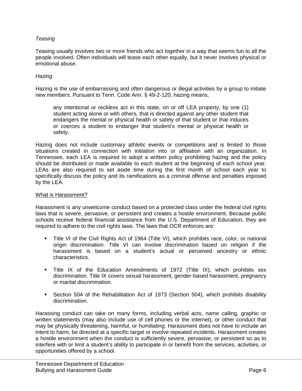#### *Teasing*

Teasing usually involves two or more friends who act together in a way that seems fun to all the people involved. Often individuals will tease each other equally, but it never involves physical or emotional abuse.

#### *Hazing*

Hazing is the use of embarrassing and often dangerous or illegal activities by a group to initiate new members. Pursuant to Tenn. Code Ann. § 49-2-120, hazing means,

any intentional or reckless act in this state, on or off LEA property, by one (1) student acting alone or with others, that is directed against any other student that endangers the mental or physical health or safety of that student or that induces or coerces a student to endanger that student's mental or physical health or safety.

Hazing does not include customary athletic events or competitions and is limited to those situations created in connection with initiation into or affiliation with an organization. In Tennessee, each LEA is required to adopt a written policy prohibiting hazing and the policy should be distributed or made available to each student at the beginning of each school year. LEAs are also required to set aside time during the first month of school each year to specifically discuss the policy and its ramifications as a criminal offense and penalties imposed by the LEA.

#### What is Harassment?

Harassment is any unwelcome conduct based on a protected class under the federal civil rights laws that is severe, pervasive, or persistent and creates a hostile environment. Because public schools receive federal financial assistance from the U.S. Department of Education, they are required to adhere to the civil rights laws. The laws that OCR enforces are:

- Title VI of the Civil Rights Act of 1964 (Title VI), which prohibits race, color, or national origin discrimination. Title VI can involve discrimination based on religion if the harassment is based on a student's actual or perceived ancestry or ethnic characteristics.
- Title IX of the Education Amendments of 1972 (Title IX), which prohibits sex discrimination. Title IX covers sexual harassment, gender-based harassment, pregnancy or marital discrimination.
- Section 504 of the Rehabilitation Act of 1973 (Section 504), which prohibits disability discrimination.

Harassing conduct can take on many forms, including verbal acts, name calling, graphic or written statements (may also include use of cell phones or the internet), or other conduct that may be physically threatening, harmful, or humiliating. Harassment does not have to include an intent to harm, be directed at a specific target or involve repeated incidents. Harassment creates a hostile environment when the conduct is sufficiently severe, pervasive, or persistent so as to interfere with or limit a student's ability to participate in or benefit from the services, activities, or opportunities offered by a school.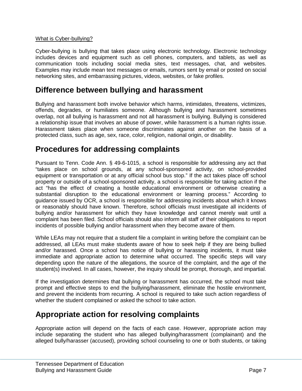#### What is Cyber-bullying?

Cyber-bullying is bullying that takes place using electronic technology. Electronic technology includes devices and equipment such as cell phones, computers, and tablets, as well as communication tools including social media sites, text messages, chat, and websites. Examples may include mean text messages or emails, rumors sent by email or posted on social networking sites, and embarrassing pictures, videos, websites, or fake profiles.

## **Difference between bullying and harassment**

Bullying and harassment both involve behavior which harms, intimidates, threatens, victimizes, offends, degrades, or humiliates someone. Although bullying and harassment sometimes overlap, not all bullying is harassment and not all harassment is bullying. Bullying is considered a relationship issue that involves an abuse of power, while harassment is a human rights issue. Harassment takes place when someone discriminates against another on the basis of a protected class, such as age, sex, race, color, religion, national origin, or disability.

## **Procedures for addressing complaints**

Pursuant to Tenn. Code Ann. § 49-6-1015, a school is responsible for addressing any act that "takes place on school grounds, at any school-sponsored activity, on school-provided equipment or transportation or at any official school bus stop." If the act takes place off school property or outside of a school-sponsored activity, a school is responsible for taking action if the act "has the effect of creating a hostile educational environment or otherwise creating a substantial disruption to the educational environment or learning process." According to guidance issued by OCR, a school is responsible for addressing incidents about which it knows or reasonably should have known. Therefore, school officials must investigate all incidents of bullying and/or harassment for which they have knowledge and cannot merely wait until a complaint has been filed. School officials should also inform all staff of their obligations to report incidents of possible bullying and/or harassment when they become aware of them.

While LEAs may not require that a student file a complaint in writing before the complaint can be addressed, all LEAs must make students aware of how to seek help if they are being bullied and/or harassed. Once a school has notice of bullying or harassing incidents, it must take immediate and appropriate action to determine what occurred. The specific steps will vary depending upon the nature of the allegations, the source of the complaint, and the age of the student(s) involved. In all cases, however, the inquiry should be prompt, thorough, and impartial.

If the investigation determines that bullying or harassment has occurred, the school must take prompt and effective steps to end the bullying/harassment, eliminate the hostile environment, and prevent the incidents from recurring. A school is required to take such action regardless of whether the student complained or asked the school to take action.

## **Appropriate action for resolving complaints**

Appropriate action will depend on the facts of each case. However, appropriate action may include separating the student who has alleged bullying/harassment (complainant) and the alleged bully/harasser (accused), providing school counseling to one or both students, or taking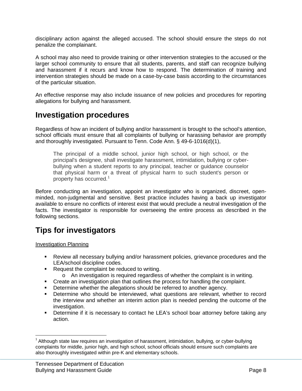disciplinary action against the alleged accused. The school should ensure the steps do not penalize the complainant.

A school may also need to provide training or other intervention strategies to the accused or the larger school community to ensure that all students, parents, and staff can recognize bullying and harassment if it recurs and know how to respond. The determination of training and intervention strategies should be made on a case-by-case basis according to the circumstances of the particular situation.

An effective response may also include issuance of new policies and procedures for reporting allegations for bullying and harassment.

## **Investigation procedures**

Regardless of how an incident of bullying and/or harassment is brought to the school's attention, school officials must ensure that all complaints of bullying or harassing behavior are promptly and thoroughly investigated. Pursuant to Tenn. Code Ann. § 49-6-1016(d)(1),

The principal of a middle school, junior high school, or high school, or the principal's designee, shall investigate harassment, intimidation, bullying or cyberbullying when a student reports to any principal, teacher or guidance counselor that physical harm or a threat of physical harm to such student's person or property has occurred.<sup>[1](#page-7-0)</sup>

Before conducting an investigation, appoint an investigator who is organized, discreet, openminded, non-judgmental and sensitive. Best practice includes having a back up investigator available to ensure no conflicts of interest exist that would preclude a neutral investigation of the facts. The investigator is responsible for overseeing the entire process as described in the following sections.

## **Tips for investigators**

Investigation Planning

- Review all necessary bullying and/or harassment policies, grievance procedures and the LEA/school discipline codes.
- Request the complaint be reduced to writing.
	- $\circ$  An investigation is required regardless of whether the complaint is in writing.
- **•** Create an investigation plan that outlines the process for handling the complaint.
- **•** Determine whether the allegations should be referred to another agency.
- Determine who should be interviewed, what questions are relevant, whether to record the interview and whether an interim action plan is needed pending the outcome of the investigation.
- Determine if it is necessary to contact he LEA's school boar attorney before taking any action.

<span id="page-7-0"></span> $1$  Although state law requires an investigation of harassment, intimidation, bullying, or cyber-bullying complaints for middle, junior high, and high school, school officials should ensure such complaints are also thoroughly investigated within pre-K and elementary schools.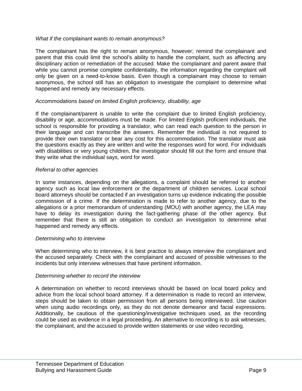#### *What if the complainant wants to remain anonymous?*

The complainant has the right to remain anonymous, however; remind the complainant and parent that this could limit the school's ability to handle the complaint, such as affecting any disciplinary action or remediation of the accused. Make the complainant and parent aware that while you cannot promise complete confidentiality, the information regarding the complaint will only be given on a need-to-know basis. Even though a complainant may choose to remain anonymous, the school still has an obligation to investigate the complaint to determine what happened and remedy any necessary effects.

#### *Accommodations based on limited English proficiency, disability, age*

If the complainant/parent is unable to write the complaint due to limited English proficiency, disability or age, accommodations must be made. For limited English proficient individuals, the school is responsible for providing a translator, who can read each question to the person in their language and can transcribe the answers. Remember the individual is not required to provide their own translator or bear any cost for this accommodation. The translator must ask the questions exactly as they are written and write the responses word for word. For individuals with disabilities or very young children, the investigator should fill out the form and ensure that they write what the individual says, word for word.

#### *Referral to other agencies*

In some instances, depending on the allegations, a complaint should be referred to another agency such as local law enforcement or the department of children services. Local school board attorneys should be contacted if an investigation turns up evidence indicating the possible commission of a crime. If the determination is made to refer to another agency, due to the allegations or a prior memorandum of understanding (MOU) with another agency, the LEA may have to delay its investigation during the fact-gathering phase of the other agency. But remember that there is still an obligation to conduct an investigation to determine what happened and remedy any effects.

#### *Determining who to interview*

When determining who to interview, it is best practice to always interview the complainant and the accused separately. Check with the complainant and accused of possible witnesses to the incidents but only interview witnesses that have pertinent information.

#### *Determining whether to record the interview*

A determination on whether to record interviews should be based on local board policy and advice from the local school board attorney. If a determination is made to record an interview, steps should be taken to obtain permission from all persons being interviewed. Use caution when using audio recordings only, as they do not denote demeanor and facial expressions. Additionally, be cautious of the questioning/investigative techniques used, as the recording could be used as evidence in a legal proceeding. An alternative to recording is to ask witnesses, the complainant, and the accused to provide written statements or use video recording.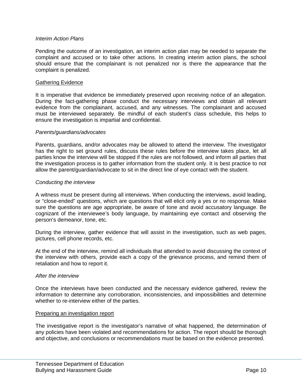#### *Interim Action Plans*

Pending the outcome of an investigation, an interim action plan may be needed to separate the complaint and accused or to take other actions. In creating interim action plans, the school should ensure that the complainant is not penalized nor is there the appearance that the complaint is penalized.

#### Gathering Evidence

It is imperative that evidence be immediately preserved upon receiving notice of an allegation. During the fact-gathering phase conduct the necessary interviews and obtain all relevant evidence from the complainant, accused, and any witnesses. The complainant and accused must be interviewed separately. Be mindful of each student's class schedule, this helps to ensure the investigation is impartial and confidential.

#### *Parents/guardians/advocates*

Parents, guardians, and/or advocates may be allowed to attend the interview. The investigator has the right to set ground rules, discuss these rules before the interview takes place, let all parties know the interview will be stopped if the rules are not followed, and inform all parties that the investigation process is to gather information from the student only. It is best practice to not allow the parent/guardian/advocate to sit in the direct line of eye contact with the student.

#### *Conducting the interview*

A witness must be present during all interviews. When conducting the interviews, avoid leading, or "close-ended" questions, which are questions that will elicit only a yes or no response. Make sure the questions are age appropriate, be aware of tone and avoid accusatory language. Be cognizant of the interviewee's body language, by maintaining eye contact and observing the person's demeanor, tone, etc.

During the interview, gather evidence that will assist in the investigation, such as web pages, pictures, cell phone records, etc.

At the end of the interview, remind all individuals that attended to avoid discussing the context of the interview with others, provide each a copy of the grievance process, and remind them of retaliation and how to report it.

#### *After the interview*

Once the interviews have been conducted and the necessary evidence gathered, review the information to determine any corroboration, inconsistencies, and impossibilities and determine whether to re-interview either of the parties.

#### Preparing an investigation report

The investigative report is the investigator's narrative of what happened, the determination of any policies have been violated and recommendations for action. The report should be thorough and objective, and conclusions or recommendations must be based on the evidence presented.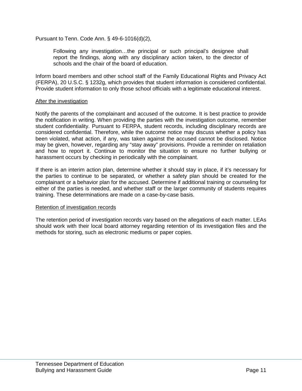Pursuant to Tenn. Code Ann. § 49-6-1016(d)(2),

Following any investigation…the principal or such principal's designee shall report the findings, along with any disciplinary action taken, to the director of schools and the chair of the board of education.

Inform board members and other school staff of the Family Educational Rights and Privacy Act (FERPA), 20 U.S.C. § 1232g, which provides that student information is considered confidential. Provide student information to only those school officials with a legitimate educational interest.

#### After the investigation

Notify the parents of the complainant and accused of the outcome. It is best practice to provide the notification in writing. When providing the parties with the investigation outcome, remember student confidentiality. Pursuant to FERPA, student records, including disciplinary records are considered confidential. Therefore, while the outcome notice may discuss whether a policy has been violated, what action, if any, was taken against the accused cannot be disclosed. Notice may be given, however, regarding any "stay away" provisions. Provide a reminder on retaliation and how to report it. Continue to monitor the situation to ensure no further bullying or harassment occurs by checking in periodically with the complainant.

If there is an interim action plan, determine whether it should stay in place, if it's necessary for the parties to continue to be separated, or whether a safety plan should be created for the complainant or a behavior plan for the accused. Determine if additional training or counseling for either of the parties is needed, and whether staff or the larger community of students requires training. These determinations are made on a case-by-case basis.

#### Retention of investigation records

The retention period of investigation records vary based on the allegations of each matter. LEAs should work with their local board attorney regarding retention of its investigation files and the methods for storing, such as electronic mediums or paper copies.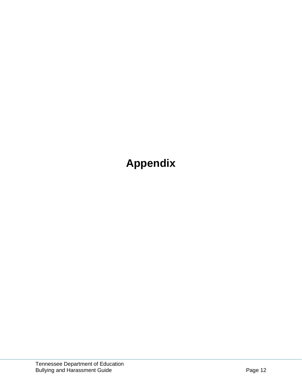## **Appendix**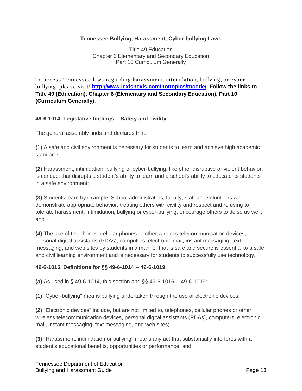#### **Tennessee Bullying, Harassment, Cyber-bullying Laws**

Title 49 Education Chapter 6 Elementary and Secondary Education Part 10 Curriculum Generally

To access Tennessee laws regarding harassment, intimidation, bullying, or cyberbullying, pleas e vis it**: [http://www.lexisnexis.com/hottopics/tncode/.](http://www.lexisnexis.com/hottopics/tncode/) Follow the links to Title 49 (Education), Chapter 6 (Elementary and Secondary Education), Part 10 (Curriculum Generally).**

#### **49-6-1014. Legislative findings -- Safety and civility.**

The general assembly finds and declares that:

**(1)** A safe and civil environment is necessary for students to learn and achieve high academic standards;

**(2)** Harassment, intimidation, bullying or cyber-bullying, like other disruptive or violent behavior, is conduct that disrupts a student's ability to learn and a school's ability to educate its students in a safe environment;

**(3)** Students learn by example. School administrators, faculty, staff and volunteers who demonstrate appropriate behavior, treating others with civility and respect and refusing to tolerate harassment, intimidation, bullying or cyber-bullying, encourage others to do so as well; and

**(4)** The use of telephones, cellular phones or other wireless telecommunication devices, personal digital assistants (PDAs), computers, electronic mail, instant messaging, text messaging, and web sites by students in a manner that is safe and secure is essential to a safe and civil learning environment and is necessary for students to successfully use technology.

#### **49-6-1015. Definitions for §§ 49-6-1014 -- 49-6-1019.**

**(a)** As used in § 49-6-1014, this section and §§ 49-6-1016 -- 49-6-1019:

**(1)** "Cyber-bullying" means bullying undertaken through the use of electronic devices;

**(2)** "Electronic devices" include, but are not limited to, telephones, cellular phones or other wireless telecommunication devices, personal digital assistants (PDAs), computers, electronic mail, instant messaging, text messaging, and web sites;

**(3)** "Harassment, intimidation or bullying" means any act that substantially interferes with a student's educational benefits, opportunities or performance; and: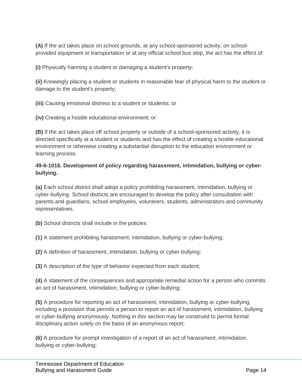**(A)** If the act takes place on school grounds, at any school-sponsored activity, on schoolprovided equipment or transportation or at any official school bus stop, the act has the effect of:

**(i)** Physically harming a student or damaging a student's property;

**(ii)** Knowingly placing a student or students in reasonable fear of physical harm to the student or damage to the student's property;

**(iii)** Causing emotional distress to a student or students; or

**(iv)** Creating a hostile educational environment; or

**(B)** If the act takes place off school property or outside of a school-sponsored activity, it is directed specifically at a student or students and has the effect of creating a hostile educational environment or otherwise creating a substantial disruption to the education environment or learning process.

#### **49-6-1016. Development of policy regarding harassment, intimidation, bullying or cyberbullying.**

**(a)** Each school district shall adopt a policy prohibiting harassment, intimidation, bullying or cyber-bullying. School districts are encouraged to develop the policy after consultation with parents and guardians, school employees, volunteers, students, administrators and community representatives.

**(b)** School districts shall include in the policies:

**(1)** A statement prohibiting harassment, intimidation, bullying or cyber-bullying;

**(2)** A definition of harassment, intimidation, bullying or cyber-bullying;

**(3)** A description of the type of behavior expected from each student;

**(4)** A statement of the consequences and appropriate remedial action for a person who commits an act of harassment, intimidation, bullying or cyber-bullying;

**(5)** A procedure for reporting an act of harassment, intimidation, bullying or cyber-bullying, including a provision that permits a person to report an act of harassment, intimidation, bullying or cyber-bullying anonymously. Nothing in this section may be construed to permit formal disciplinary action solely on the basis of an anonymous report;

**(6)** A procedure for prompt investigation of a report of an act of harassment, intimidation, bullying or cyber-bullying;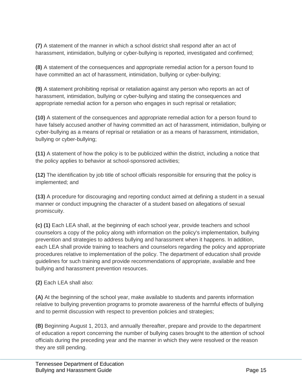**(7)** A statement of the manner in which a school district shall respond after an act of harassment, intimidation, bullying or cyber-bullying is reported, investigated and confirmed;

**(8)** A statement of the consequences and appropriate remedial action for a person found to have committed an act of harassment, intimidation, bullying or cyber-bullying;

**(9)** A statement prohibiting reprisal or retaliation against any person who reports an act of harassment, intimidation, bullying or cyber-bullying and stating the consequences and appropriate remedial action for a person who engages in such reprisal or retaliation;

**(10)** A statement of the consequences and appropriate remedial action for a person found to have falsely accused another of having committed an act of harassment, intimidation, bullying or cyber-bullying as a means of reprisal or retaliation or as a means of harassment, intimidation, bullying or cyber-bullying;

**(11)** A statement of how the policy is to be publicized within the district, including a notice that the policy applies to behavior at school-sponsored activities;

**(12)** The identification by job title of school officials responsible for ensuring that the policy is implemented; and

**(13)** A procedure for discouraging and reporting conduct aimed at defining a student in a sexual manner or conduct impugning the character of a student based on allegations of sexual promiscuity.

**(c) (1)** Each LEA shall, at the beginning of each school year, provide teachers and school counselors a copy of the policy along with information on the policy's implementation, bullying prevention and strategies to address bullying and harassment when it happens. In addition, each LEA shall provide training to teachers and counselors regarding the policy and appropriate procedures relative to implementation of the policy. The department of education shall provide guidelines for such training and provide recommendations of appropriate, available and free bullying and harassment prevention resources.

**(2)** Each LEA shall also:

**(A)** At the beginning of the school year, make available to students and parents information relative to bullying prevention programs to promote awareness of the harmful effects of bullying and to permit discussion with respect to prevention policies and strategies;

**(B)** Beginning August 1, 2013, and annually thereafter, prepare and provide to the department of education a report concerning the number of bullying cases brought to the attention of school officials during the preceding year and the manner in which they were resolved or the reason they are still pending.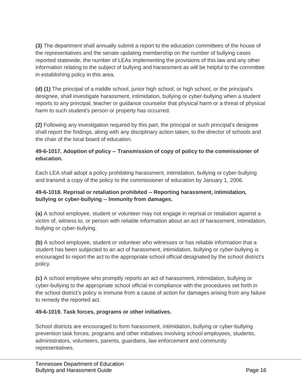**(3)** The department shall annually submit a report to the education committees of the house of the representatives and the senate updating membership on the number of bullying cases reported statewide, the number of LEAs implementing the provisions of this law and any other information relating to the subject of bullying and harassment as will be helpful to the committee in establishing policy in this area.

**(d) (1)** The principal of a middle school, junior high school, or high school, or the principal's designee, shall investigate harassment, intimidation, bullying or cyber-bullying when a student reports to any principal, teacher or guidance counselor that physical harm or a threat of physical harm to such student's person or property has occurred.

**(2)** Following any investigation required by this part, the principal or such principal's designee shall report the findings, along with any disciplinary action taken, to the director of schools and the chair of the local board of education.

#### **49-6-1017. Adoption of policy -- Transmission of copy of policy to the commissioner of education.**

Each LEA shall adopt a policy prohibiting harassment, intimidation, bullying or cyber-bullying and transmit a copy of the policy to the commissioner of education by January 1, 2006.

#### **49-6-1018. Reprisal or retaliation prohibited -- Reporting harassment, intimidation, bullying or cyber-bullying -- Immunity from damages.**

**(a)** A school employee, student or volunteer may not engage in reprisal or retaliation against a victim of, witness to, or person with reliable information about an act of harassment, intimidation, bullying or cyber-bullying.

**(b)** A school employee, student or volunteer who witnesses or has reliable information that a student has been subjected to an act of harassment, intimidation, bullying or cyber-bullying is encouraged to report the act to the appropriate school official designated by the school district's policy.

**(c)** A school employee who promptly reports an act of harassment, intimidation, bullying or cyber-bullying to the appropriate school official in compliance with the procedures set forth in the school district's policy is immune from a cause of action for damages arising from any failure to remedy the reported act.

#### **49-6-1019. Task forces, programs or other initiatives.**

School districts are encouraged to form harassment, intimidation, bullying or cyber-bullying prevention task forces, programs and other initiatives involving school employees, students, administrators, volunteers, parents, guardians, law enforcement and community representatives.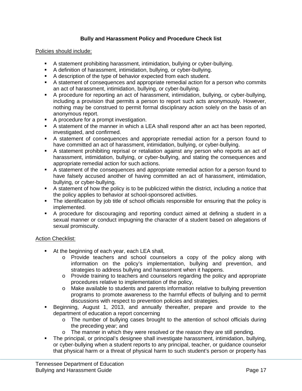#### **Bully and Harassment Policy and Procedure Check list**

#### Policies should include:

- A statement prohibiting harassment, intimidation, bullying or cyber-bullying.
- A definition of harassment, intimidation, bullying, or cyber-bullying.
- A description of the type of behavior expected from each student.
- A statement of consequences and appropriate remedial action for a person who commits an act of harassment, intimidation, bullying, or cyber-bullying.
- A procedure for reporting an act of harassment, intimidation, bullying, or cyber-bullying, including a provision that permits a person to report such acts anonymously. However, nothing may be construed to permit formal disciplinary action solely on the basis of an anonymous report.
- A procedure for a prompt investigation.
- A statement of the manner in which a LEA shall respond after an act has been reported, investigated, and confirmed.
- A statement of consequences and appropriate remedial action for a person found to have committed an act of harassment, intimidation, bullying, or cyber-bullying.
- A statement prohibiting reprisal or retaliation against any person who reports an act of harassment, intimidation, bullying, or cyber-bullying, and stating the consequences and appropriate remedial action for such actions.
- A statement of the consequences and appropriate remedial action for a person found to have falsely accused another of having committed an act of harassment, intimidation, bullying, or cyber-bullying.
- A statement of how the policy is to be publicized within the district, including a notice that the policy applies to behavior at school-sponsored activities.
- The identification by job title of school officials responsible for ensuring that the policy is implemented.
- A procedure for discouraging and reporting conduct aimed at defining a student in a sexual manner or conduct impugning the character of a student based on allegations of sexual promiscuity.

#### Action Checklist:

- At the beginning of each year, each LEA shall,
	- o Provide teachers and school counselors a copy of the policy along with information on the policy's implementation, bullying and prevention, and strategies to address bullying and harassment when it happens.
	- o Provide training to teachers and counselors regarding the policy and appropriate procedures relative to implementation of the policy,
	- o Make available to students and parents information relative to bullying prevention programs to promote awareness to the harmful effects of bullying and to permit discussions with respect to prevention policies and strategies.
- Beginning, August 1, 2013, and annually thereafter, prepare and provide to the department of education a report concerning
	- o The number of bullying cases brought to the attention of school officials during the preceding year; and
	- $\circ$  The manner in which they were resolved or the reason they are still pending.
- The principal, or principal's designee shall investigate harassment, intimidation, bullying, or cyber-bullying when a student reports to any principal, teacher, or guidance counselor that physical harm or a threat of physical harm to such student's person or property has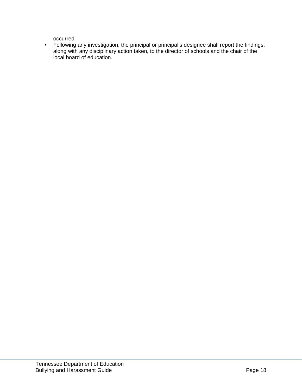occurred.

 Following any investigation, the principal or principal's designee shall report the findings, along with any disciplinary action taken, to the director of schools and the chair of the local board of education.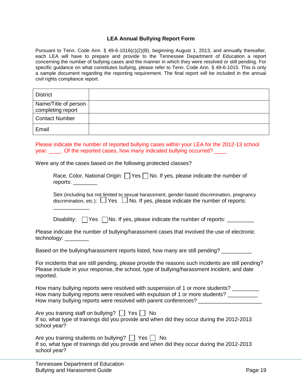#### **LEA Annual Bullying Report Form**

Pursuant to Tenn. Code Ann. § 49-6-1016(c)(2)(B), beginning August 1, 2013, and annually thereafter, each LEA will have to prepare and provide to the Tennessee Department of Education a report concerning the number of bullying cases and the manner in which they were resolved or still pending. For specific guidance on what constitutes bullying, please refer to Tenn. Code Ann. § 49-6-1015. This is only a sample document regarding the reporting requirement. The final report will be included in the annual civil rights compliance report.

| <b>District</b>                           |  |
|-------------------------------------------|--|
| Name/Title of person<br>completing report |  |
| <b>Contact Number</b>                     |  |
| Email                                     |  |

Please indicate the number of reported bullying cases within your LEA for the 2012-13 school year: Comes reported cases, how many indicated bullying occurred?

Were any of the cases based on the following protected classes?

| Race, Color, National Origin: $\Box$ Yes $\Box$ No. If yes, please indicate the number of |  |  |
|-------------------------------------------------------------------------------------------|--|--|
| reports:                                                                                  |  |  |

Sex (including but not limited to sexual harassment, gender-based discrimination, pregnancy discrimination, etc.):  $\Box$  Yes  $\Box$  No. If yes, please indicate the number of reports:

Disability:  $\Box$  Yes  $\Box$  No. If yes, please indicate the number of reports:  $\Box$ 

| Please indicate the number of bullying/harassment cases that involved the use of electronic |  |
|---------------------------------------------------------------------------------------------|--|
| technology: _________                                                                       |  |

Based on the bullying/harassment reports listed, how many are still pending?

For incidents that are still pending, please provide the reasons such incidents are still pending? Please include in your response, the school, type of bullying/harassment incident, and date reported.

How many bullying reports were resolved with suspension of 1 or more students? How many bullying reports were resolved with expulsion of 1 or more students? \_\_\_\_\_\_\_\_\_ How many bullying reports were resolved with parent conferences?

Are you training staff on bullying?  $\Box$  Yes  $\Box$  No

If so, what type of trainings did you provide and when did they occur during the 2012-2013 school year?

| Are you training students on bullying? $\Box$ Yes $\Box$ No                                |  |
|--------------------------------------------------------------------------------------------|--|
| If so, what type of trainings did you provide and when did they occur during the 2012-2013 |  |
| school year?                                                                               |  |

\_\_\_\_\_\_\_\_\_\_\_\_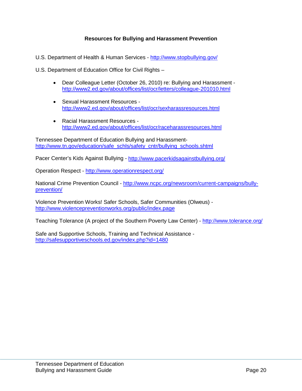#### **Resources for Bullying and Harassment Prevention**

U.S. Department of Health & Human Services - <http://www.stopbullying.gov/>

U.S. Department of Education Office for Civil Rights –

- Dear Colleague Letter (October 26, 2010) re: Bullying and Harassment <http://www2.ed.gov/about/offices/list/ocr/letters/colleague-201010.html>
- Sexual Harassment Resources <http://www2.ed.gov/about/offices/list/ocr/sexharassresources.html>
- Racial Harassment Resources <http://www2.ed.gov/about/offices/list/ocr/raceharassresources.html>

Tennessee Department of Education Bullying and Harassment[http://www.tn.gov/education/safe\\_schls/safety\\_cntr/bullying\\_schools.shtml](http://www.tn.gov/education/safe_schls/safety_cntr/bullying_schools.shtml)

Pacer Center's Kids Against Bullying - <http://www.pacerkidsagainstbullying.org/>

Operation Respect - <http://www.operationrespect.org/>

National Crime Prevention Council - [http://www.ncpc.org/newsroom/current-campaigns/bully](http://www.ncpc.org/newsroom/current-campaigns/bully-prevention/)[prevention/](http://www.ncpc.org/newsroom/current-campaigns/bully-prevention/)

Violence Prevention Works! Safer Schools, Safer Communities (Olweus) <http://www.violencepreventionworks.org/public/index.page>

Teaching Tolerance (A project of the Southern Poverty Law Center) - <http://www.tolerance.org/>

Safe and Supportive Schools, Training and Technical Assistance <http://safesupportiveschools.ed.gov/index.php?id=1480>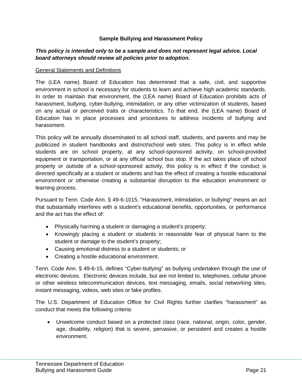#### **Sample Bullying and Harassment Policy**

#### *This policy is intended only to be a sample and does not represent legal advice. Local board attorneys should review all policies prior to adoption.*

#### General Statements and Definitions

The (LEA name) Board of Education has determined that a safe, civil, and supportive environment in school is necessary for students to learn and achieve high academic standards. In order to maintain that environment, the (LEA name) Board of Education prohibits acts of harassment, bullying, cyber-bullying, intimidation, or any other victimization of students, based on any actual or perceived traits or characteristics. To that end, the (LEA name) Board of Education has in place processes and procedures to address incidents of bullying and harassment.

This policy will be annually disseminated to all school staff, students, and parents and may be publicized in student handbooks and district/school web sites. This policy is in effect while students are on school property, at any school-sponsored activity, on school-provided equipment or transportation, or at any official school bus stop. If the act takes place off school property or outside of a school-sponsored activity, this policy is in effect if the conduct is directed specifically at a student or students and has the effect of creating a hostile educational environment or otherwise creating a substantial disruption to the education environment or learning process.

Pursuant to Tenn. Code Ann. § 49-6-1015, "Harassment, intimidation, or bullying" means an act that substantially interferes with a student's educational benefits, opportunities, or performance and the act has the effect of:

- Physically harming a student or damaging a student's property;
- Knowingly placing a student or students in reasonable fear of physical harm to the student or damage to the student's property;
- Causing emotional distress to a student or students; or
- Creating a hostile educational environment.

Tenn. Code Ann. § 49-6-15, defines "Cyber-bullying" as bullying undertaken through the use of electronic devices. Electronic devices include, but are not limited to, telephones, cellular phone or other wireless telecommunication devices, text messaging, emails, social networking sites, instant messaging, videos, web sites or fake profiles.

The U.S. Department of Education Office for Civil Rights further clarifies "harassment" as conduct that meets the following criteria:

• Unwelcome conduct based on a protected class (race, national, origin, color, gender, age, disability, religion) that is severe, pervasive, or persistent and creates a hostile environment.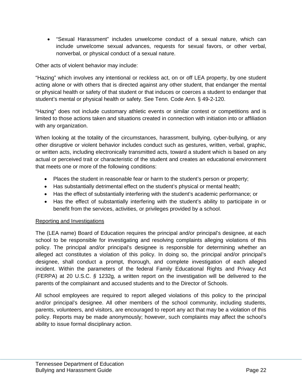• "Sexual Harassment" includes unwelcome conduct of a sexual nature, which can include unwelcome sexual advances, requests for sexual favors, or other verbal, nonverbal, or physical conduct of a sexual nature.

Other acts of violent behavior may include:

"Hazing" which involves any intentional or reckless act, on or off LEA property, by one student acting alone or with others that is directed against any other student, that endanger the mental or physical health or safety of that student or that induces or coerces a student to endanger that student's mental or physical health or safety. See Tenn. Code Ann. § 49-2-120.

"Hazing" does not include customary athletic events or similar contest or competitions and is limited to those actions taken and situations created in connection with initiation into or affiliation with any organization.

When looking at the totality of the circumstances, harassment, bullying, cyber-bullying, or any other disruptive or violent behavior includes conduct such as gestures, written, verbal, graphic, or written acts, including electronically transmitted acts, toward a student which is based on any actual or perceived trait or characteristic of the student and creates an educational environment that meets one or more of the following conditions:

- Places the student in reasonable fear or harm to the student's person or property;
- Has substantially detrimental effect on the student's physical or mental health;
- Has the effect of substantially interfering with the student's academic performance; or
- Has the effect of substantially interfering with the student's ability to participate in or benefit from the services, activities, or privileges provided by a school.

#### Reporting and Investigations

The (LEA name) Board of Education requires the principal and/or principal's designee, at each school to be responsible for investigating and resolving complaints alleging violations of this policy. The principal and/or principal's designee is responsible for determining whether an alleged act constitutes a violation of this policy. In doing so, the principal and/or principal's designee, shall conduct a prompt, thorough, and complete investigation of each alleged incident. Within the parameters of the federal Family Educational Rights and Privacy Act (FERPA) at 20 U.S.C. *§* 1232g*,* a written report on the investigation will be delivered to the parents of the complainant and accused students and to the Director of Schools.

All school employees are required to report alleged violations of this policy to the principal and/or principal's designee. All other members of the school community, including students, parents, volunteers, and visitors, are encouraged to report any act that may be a violation of this policy. Reports may be made anonymously; however, such complaints may affect the school's ability to issue formal disciplinary action.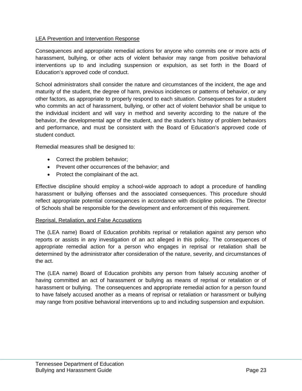#### LEA Prevention and Intervention Response

Consequences and appropriate remedial actions for anyone who commits one or more acts of harassment, bullying, or other acts of violent behavior may range from positive behavioral interventions up to and including suspension or expulsion, as set forth in the Board of Education's approved code of conduct.

School administrators shall consider the nature and circumstances of the incident, the age and maturity of the student, the degree of harm, previous incidences or patterns of behavior, or any other factors, as appropriate to properly respond to each situation. Consequences for a student who commits an act of harassment, bullying, or other act of violent behavior shall be unique to the individual incident and will vary in method and severity according to the nature of the behavior, the developmental age of the student, and the student's history of problem behaviors and performance, and must be consistent with the Board of Education's approved code of student conduct.

Remedial measures shall be designed to:

- Correct the problem behavior;
- Prevent other occurrences of the behavior; and
- Protect the complainant of the act.

Effective discipline should employ a school-wide approach to adopt a procedure of handling harassment or bullying offenses and the associated consequences. This procedure should reflect appropriate potential consequences in accordance with discipline policies. The Director of Schools shall be responsible for the development and enforcement of this requirement.

#### Reprisal, Retaliation, and False Accusations

The (LEA name) Board of Education prohibits reprisal or retaliation against any person who reports or assists in any investigation of an act alleged in this policy. The consequences of appropriate remedial action for a person who engages in reprisal or retaliation shall be determined by the administrator after consideration of the nature, severity, and circumstances of the act.

The (LEA name) Board of Education prohibits any person from falsely accusing another of having committed an act of harassment or bullying as means of reprisal or retaliation or of harassment or bullying. The consequences and appropriate remedial action for a person found to have falsely accused another as a means of reprisal or retaliation or harassment or bullying may range from positive behavioral interventions up to and including suspension and expulsion.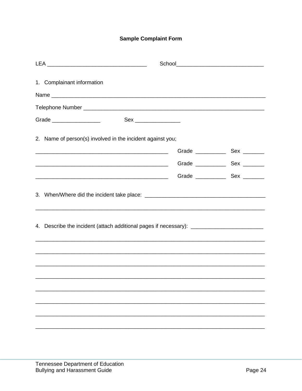### **Sample Complaint Form**

| 1. Complainant information                                                                           |  |
|------------------------------------------------------------------------------------------------------|--|
|                                                                                                      |  |
|                                                                                                      |  |
| Grade ___________________<br>Sex ________________                                                    |  |
|                                                                                                      |  |
| 2. Name of person(s) involved in the incident against you;                                           |  |
|                                                                                                      |  |
|                                                                                                      |  |
|                                                                                                      |  |
|                                                                                                      |  |
|                                                                                                      |  |
|                                                                                                      |  |
| 4. Describe the incident (attach additional pages if necessary): ___________________________________ |  |
|                                                                                                      |  |
|                                                                                                      |  |
|                                                                                                      |  |
| ,我们也不能在这里的人,我们也不能在这里的人,我们也不能在这里的人,我们也不能在这里的人,我们也不能在这里的人,我们也不能在这里的人,我们也不能在这里的人,我们也                    |  |
|                                                                                                      |  |
|                                                                                                      |  |
|                                                                                                      |  |
|                                                                                                      |  |
|                                                                                                      |  |
|                                                                                                      |  |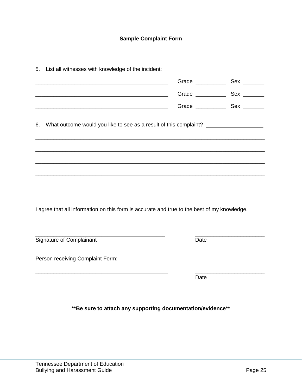#### **Sample Complaint Form**

\_\_\_\_\_\_\_\_\_\_\_\_\_\_\_\_\_\_\_\_\_\_\_\_\_\_\_\_\_\_\_\_\_\_\_\_\_\_\_\_\_\_\_\_ Grade \_\_\_\_\_\_\_\_\_\_ Sex \_\_\_\_\_\_\_

6. What outcome would you like to see as a result of this complaint? \_\_\_\_\_\_\_\_\_\_\_\_\_

\_\_\_\_\_\_\_\_\_\_\_\_\_\_\_\_\_\_\_\_\_\_\_\_\_\_\_\_\_\_\_\_\_\_\_\_\_\_\_\_\_\_\_\_\_\_\_\_\_\_\_\_\_\_\_\_\_\_\_\_\_\_\_\_\_\_\_\_\_\_\_\_\_\_\_\_

\_\_\_\_\_\_\_\_\_\_\_\_\_\_\_\_\_\_\_\_\_\_\_\_\_\_\_\_\_\_\_\_\_\_\_\_\_\_\_\_\_\_\_\_\_\_\_\_\_\_\_\_\_\_\_\_\_\_\_\_\_\_\_\_\_\_\_\_\_\_\_\_\_\_\_\_

\_\_\_\_\_\_\_\_\_\_\_\_\_\_\_\_\_\_\_\_\_\_\_\_\_\_\_\_\_\_\_\_\_\_\_\_\_\_\_\_\_\_\_\_\_\_\_\_\_\_\_\_\_\_\_\_\_\_\_\_\_\_\_\_\_\_\_\_\_\_\_\_\_\_\_\_

\_\_\_\_\_\_\_\_\_\_\_\_\_\_\_\_\_\_\_\_\_\_\_\_\_\_\_\_\_\_\_\_\_\_\_\_\_\_\_\_\_\_\_\_\_\_\_\_\_\_\_\_\_\_\_\_\_\_\_\_\_\_\_\_\_\_\_\_\_\_\_\_\_\_\_\_

\_\_\_\_\_\_\_\_\_\_\_\_\_\_\_\_\_\_\_\_\_\_\_\_\_\_\_\_\_\_\_\_\_\_\_\_\_\_\_\_\_\_\_\_ Grade \_\_\_\_\_\_\_\_\_\_ Sex \_\_\_\_\_\_\_

\_\_\_\_\_\_\_\_\_\_\_\_\_\_\_\_\_\_\_\_\_\_\_\_\_\_\_\_\_\_\_\_\_\_\_\_\_\_\_\_\_\_\_\_ Grade \_\_\_\_\_\_\_\_\_\_ Sex \_\_\_\_\_\_\_

5. List all witnesses with knowledge of the incident:

| I agree that all information on this form is accurate and true to the best of my knowledge. |         |
|---------------------------------------------------------------------------------------------|---------|
| Signature of Complainant                                                                    | Date    |
| Person receiving Complaint Form:                                                            |         |
|                                                                                             | Date    |
| ** Be sure to attach any supporting documentation/evidence**                                |         |
| Tennessee Department of Education<br><b>Bullying and Harassment Guide</b>                   | Page 25 |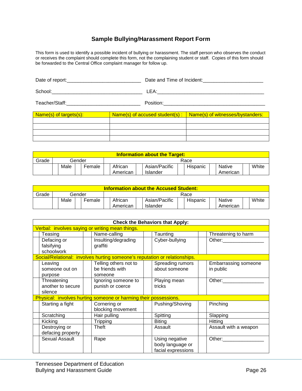#### **Sample Bullying/Harassment Report Form**

This form is used to identify a possible incident of bullying or harassment. The staff person who observes the conduct or receives the complaint should complete this form, not the complaining student or staff. Copies of this form should be forwarded to the Central Office complaint manager for follow up.

| Date of report: | Date and Time of Incident:<br><u> </u>                                                                                                                                                                                                                                                                                                                                                                                                                                 |
|-----------------|------------------------------------------------------------------------------------------------------------------------------------------------------------------------------------------------------------------------------------------------------------------------------------------------------------------------------------------------------------------------------------------------------------------------------------------------------------------------|
| School:         | I FA·                                                                                                                                                                                                                                                                                                                                                                                                                                                                  |
| Teacher/Staff:  | Position:                                                                                                                                                                                                                                                                                                                                                                                                                                                              |
| <b>ALC</b>      | <u>in the second second and the second second second and second second second second second second second second second second second second second second second second second second second second second second second second</u><br>and the contract of the contract of the contract of the contract of the contract of the contract of the contract of the contract of the contract of the contract of the contract of the contract of the contract of the contra |

| Name(s) of targets(s): | Name(s) of accused student(s) : | Name(s) of witnesses/bystanders: |
|------------------------|---------------------------------|----------------------------------|
|                        |                                 |                                  |
|                        |                                 |                                  |
|                        |                                 |                                  |
|                        |                                 |                                  |

| <b>Information about the Target:</b> |      |        |                     |                           |          |                    |       |
|--------------------------------------|------|--------|---------------------|---------------------------|----------|--------------------|-------|
| Grade                                |      | Gender | Race                |                           |          |                    |       |
|                                      | Male | Female | African<br>American | Asian/Pacific<br>Islander | Hispanic | Native<br>American | White |

| <b>Information about the Accused Student:</b> |      |        |                     |                           |          |                           |       |
|-----------------------------------------------|------|--------|---------------------|---------------------------|----------|---------------------------|-------|
| Grade                                         |      | Gender | Race                |                           |          |                           |       |
|                                               | Male | Female | African<br>American | Asian/Pacific<br>Islander | Hispanic | <b>Native</b><br>American | White |

| <b>Check the Behaviors that Apply:</b>      |                                                                            |                                                          |                                          |  |  |  |  |
|---------------------------------------------|----------------------------------------------------------------------------|----------------------------------------------------------|------------------------------------------|--|--|--|--|
|                                             | Verbal: involves saying or writing mean things.                            |                                                          |                                          |  |  |  |  |
| Teasing                                     | Name-calling                                                               | Taunting                                                 | Threatening to harm                      |  |  |  |  |
| Defacing or                                 | Insulting/degrading                                                        | Cyber-bullying                                           | Other:                                   |  |  |  |  |
| falsifying<br>schoolwork                    | graffiti                                                                   |                                                          |                                          |  |  |  |  |
|                                             | Social/Relational: involves hurting someone's reputation or relationships. |                                                          |                                          |  |  |  |  |
| Leaving<br>someone out on<br>purpose        | Telling others not to<br>be friends with<br>someone                        | Spreading rumors<br>about someone                        | <b>Embarrassing someone</b><br>in public |  |  |  |  |
| Threatening<br>another to secure<br>silence | Ignoring someone to<br>punish or coerce                                    | Playing mean<br>tricks                                   | Other:                                   |  |  |  |  |
|                                             | Physical: involves hurting someone or harming their possessions.           |                                                          |                                          |  |  |  |  |
| Starting a fight                            | Cornering or<br>blocking movement                                          | Pushing/Shoving                                          | Pinching                                 |  |  |  |  |
| Scratching                                  | Hair pulling                                                               | Spitting                                                 | Slapping                                 |  |  |  |  |
| Kicking                                     | <b>Tripping</b>                                                            | <b>Biting</b>                                            | Hitting                                  |  |  |  |  |
| Destroying or<br>defacing property          | Theft                                                                      | Assault                                                  | Assault with a weapon                    |  |  |  |  |
| Sexual Assault                              | Rape                                                                       | Using negative<br>body language or<br>facial expressions | Other:                                   |  |  |  |  |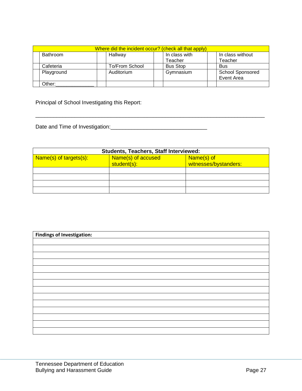| Where did the incident occur? (check all that apply) |                 |                |                 |                         |  |  |  |
|------------------------------------------------------|-----------------|----------------|-----------------|-------------------------|--|--|--|
|                                                      | <b>Bathroom</b> | Hallway        | In class with   | In class without        |  |  |  |
|                                                      |                 |                | Teacher         | Teacher                 |  |  |  |
|                                                      | Cafeteria       | To/From School | <b>Bus Stop</b> | <b>Bus</b>              |  |  |  |
|                                                      | Playground      | Auditorium     | Gymnasium       | <b>School Sponsored</b> |  |  |  |
|                                                      |                 |                |                 | Event Area              |  |  |  |
|                                                      | Other:          |                |                 |                         |  |  |  |

\_\_\_\_\_\_\_\_\_\_\_\_\_\_\_\_\_\_\_\_\_\_\_\_\_\_\_\_\_\_\_\_\_\_\_\_\_\_\_\_\_\_\_\_\_\_\_\_\_\_\_\_\_\_\_\_\_\_\_\_\_\_\_\_\_\_\_\_\_\_\_\_\_\_\_\_

Principal of School Investigating this Report:

Date and Time of Investigation:\_\_\_\_\_\_\_\_\_\_\_\_\_\_\_\_\_\_\_\_\_\_\_\_\_\_\_\_\_\_\_\_

| <b>Students, Teachers, Staff Interviewed:</b> |                    |                       |  |  |  |
|-----------------------------------------------|--------------------|-----------------------|--|--|--|
| Name(s) of targets(s):                        | Name(s) of accused | Name(s) of            |  |  |  |
|                                               | student(s):        | witnesses/bystanders: |  |  |  |
|                                               |                    |                       |  |  |  |
|                                               |                    |                       |  |  |  |
|                                               |                    |                       |  |  |  |
|                                               |                    |                       |  |  |  |

| <b>Findings of Investigation:</b> |  |  |  |
|-----------------------------------|--|--|--|
|                                   |  |  |  |
|                                   |  |  |  |
|                                   |  |  |  |
|                                   |  |  |  |
|                                   |  |  |  |
|                                   |  |  |  |
|                                   |  |  |  |
|                                   |  |  |  |
|                                   |  |  |  |
|                                   |  |  |  |
|                                   |  |  |  |
|                                   |  |  |  |
|                                   |  |  |  |
|                                   |  |  |  |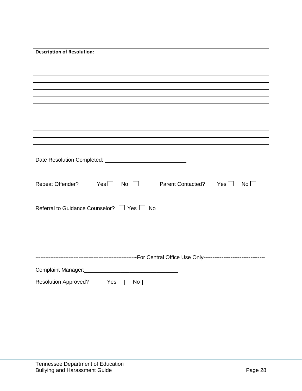| <b>Description of Resolution:</b>                                                |  |  |  |  |  |
|----------------------------------------------------------------------------------|--|--|--|--|--|
|                                                                                  |  |  |  |  |  |
|                                                                                  |  |  |  |  |  |
|                                                                                  |  |  |  |  |  |
|                                                                                  |  |  |  |  |  |
|                                                                                  |  |  |  |  |  |
|                                                                                  |  |  |  |  |  |
|                                                                                  |  |  |  |  |  |
|                                                                                  |  |  |  |  |  |
|                                                                                  |  |  |  |  |  |
|                                                                                  |  |  |  |  |  |
| ,我们也不会有什么。""我们的人,我们也不会有什么?""我们的人,我们也不会有什么?""我们的人,我们也不会有什么?""我们的人,我们也不会有什么?""我们的人 |  |  |  |  |  |
|                                                                                  |  |  |  |  |  |
|                                                                                  |  |  |  |  |  |
| Repeat Offender? Yes□ No □ Parent Contacted? Yes□<br>$No$ $\Box$                 |  |  |  |  |  |
| Referral to Guidance Counselor? $\Box$ Yes $\Box$ No                             |  |  |  |  |  |
|                                                                                  |  |  |  |  |  |
|                                                                                  |  |  |  |  |  |
|                                                                                  |  |  |  |  |  |
| Complaint Manager:<br><u>Complaint Manager:</u>                                  |  |  |  |  |  |
| <b>Resolution Approved?</b><br>Yes  <br>No <sub>1</sub>                          |  |  |  |  |  |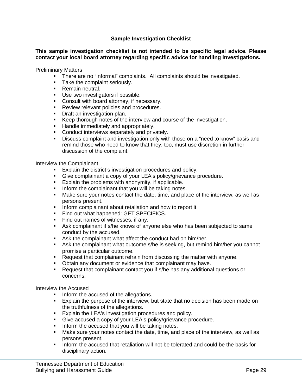#### **Sample Investigation Checklist**

#### **This sample investigation checklist is not intended to be specific legal advice. Please contact your local board attorney regarding specific advice for handling investigations.**

Preliminary Matters

- **There are no "informal" complaints. All complaints should be investigated.**
- Take the complaint seriously.
- Remain neutral.
- Use two investigators if possible.
- **Consult with board attorney, if necessary.**
- Review relevant policies and procedures.
- **Draft an investigation plan.**
- Keep thorough notes of the interview and course of the investigation.
- **Handle immediately and appropriately.**
- Conduct interviews separately and privately.
- **Discuss complaint and investigation only with those on a "need to know" basis and** remind those who need to know that they, too, must use discretion in further discussion of the complaint.

Interview the Complainant

- **Explain the district's investigation procedures and policy.**
- Give complainant a copy of your LEA's policy/grievance procedure.
- **Explain the problems with anonymity, if applicable.**
- Inform the complainant that you will be taking notes.
- Make sure your notes contact the date, time, and place of the interview, as well as persons present.
- **Inform complainant about retaliation and how to report it.**
- Find out what happened: GET SPECIFICS.
- Find out names of witnesses, if any.
- Ask complainant if s/he knows of anyone else who has been subjected to same conduct by the accused.
- Ask the complainant what affect the conduct had on him/her.
- Ask the complainant what outcome s/he is seeking, but remind him/her you cannot promise a particular outcome.
- **Request that complainant refrain from discussing the matter with anyone.**
- **D**btain any document or evidence that complainant may have.
- Request that complainant contact you if s/he has any additional questions or concerns.

Interview the Accused

- Inform the accused of the allegations.
- Explain the purpose of the interview, but state that no decision has been made on the truthfulness of the allegations.
- **Explain the LEA's investigation procedures and policy.**
- Give accused a copy of your LEA's policy/grievance procedure.
- Inform the accused that you will be taking notes.
- Make sure your notes contact the date, time, and place of the interview, as well as persons present.
- Inform the accused that retaliation will not be tolerated and could be the basis for disciplinary action.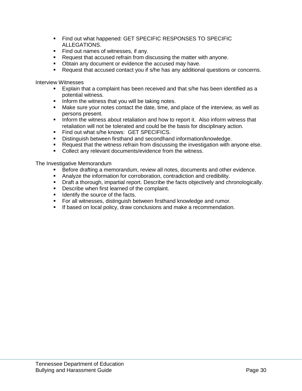- Find out what happened: GET SPECIFIC RESPONSES TO SPECIFIC ALLEGATIONS.
- Find out names of witnesses, if any.
- Request that accused refrain from discussing the matter with anyone.
- Obtain any document or evidence the accused may have.
- Request that accused contact you if s/he has any additional questions or concerns.

Interview Witnesses

- Explain that a complaint has been received and that s/he has been identified as a potential witness.
- **Inform the witness that you will be taking notes.**
- Make sure your notes contact the date, time, and place of the interview, as well as persons present.
- **Inform the witness about retaliation and how to report it. Also inform witness that** retaliation will not be tolerated and could be the basis for disciplinary action.
- **Find out what s/he knows: GET SPECIFICS.**
- **Distinguish between firsthand and secondhand information/knowledge.**
- Request that the witness refrain from discussing the investigation with anyone else.
- Collect any relevant documents/evidence from the witness.

The Investigative Memorandum

- Before drafting a memorandum, review all notes, documents and other evidence.
- Analyze the information for corroboration, contradiction and credibility.
- Draft a thorough, impartial report. Describe the facts objectively and chronologically.
- **Describe when first learned of the complaint.**
- **If** Identify the source of the facts.
- For all witnesses, distinguish between firsthand knowledge and rumor.
- **If based on local policy, draw conclusions and make a recommendation.**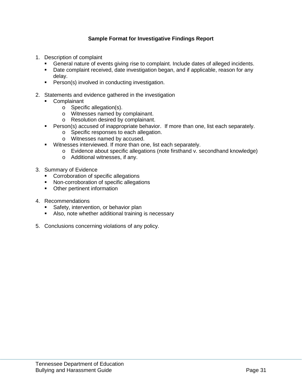#### **Sample Format for Investigative Findings Report**

- 1. Description of complaint
	- General nature of events giving rise to complaint. Include dates of alleged incidents.
	- Date complaint received, date investigation began, and if applicable, reason for any delay.
	- **Person(s) involved in conducting investigation.**
- 2. Statements and evidence gathered in the investigation
	- **Complainant** 
		- o Specific allegation(s).
		- o Witnesses named by complainant.
		- o Resolution desired by complainant.
	- **Person(s) accused of inappropriate behavior. If more than one, list each separately.** 
		- o Specific responses to each allegation.
		- o Witnesses named by accused.
	- **Witnesses interviewed. If more than one, list each separately.** 
		- o Evidence about specific allegations (note firsthand v. secondhand knowledge)
		- o Additional witnesses, if any.
- 3. Summary of Evidence
	- **Corroboration of specific allegations**
	- **Non-corroboration of specific allegations**
	- **•** Other pertinent information
- 4. Recommendations
	- Safety, intervention, or behavior plan
	- Also, note whether additional training is necessary
- 5. Conclusions concerning violations of any policy.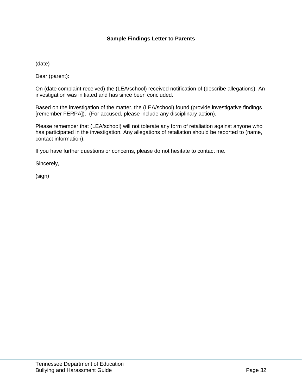#### **Sample Findings Letter to Parents**

(date)

Dear (parent):

On (date complaint received) the (LEA/school) received notification of (describe allegations). An investigation was initiated and has since been concluded.

Based on the investigation of the matter, the (LEA/school) found (provide investigative findings [remember FERPA]). (For accused, please include any disciplinary action).

Please remember that (LEA/school) will not tolerate any form of retaliation against anyone who has participated in the investigation. Any allegations of retaliation should be reported to (name, contact information).

If you have further questions or concerns, please do not hesitate to contact me.

Sincerely,

(sign)